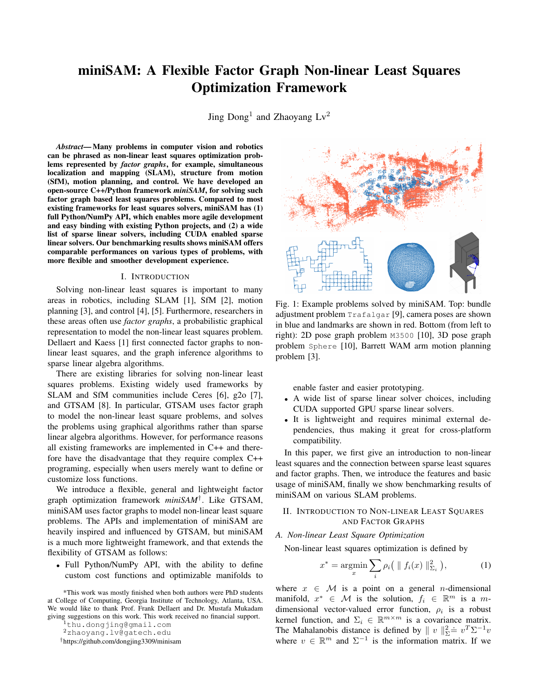# miniSAM: A Flexible Factor Graph Non-linear Least Squares Optimization Framework

Jing  $\text{Dong}^1$  and Zhaoyang  $\text{Lv}^2$ 

*Abstract*— Many problems in computer vision and robotics can be phrased as non-linear least squares optimization problems represented by *factor graphs*, for example, simultaneous localization and mapping (SLAM), structure from motion (SfM), motion planning, and control. We have developed an open-source C++/Python framework *miniSAM*, for solving such factor graph based least squares problems. Compared to most existing frameworks for least squares solvers, miniSAM has (1) full Python/NumPy API, which enables more agile development and easy binding with existing Python projects, and (2) a wide list of sparse linear solvers, including CUDA enabled sparse linear solvers. Our benchmarking results shows miniSAM offers comparable performances on various types of problems, with more flexible and smoother development experience.

## I. INTRODUCTION

Solving non-linear least squares is important to many areas in robotics, including SLAM [1], SfM [2], motion planning [3], and control [4], [5]. Furthermore, researchers in these areas often use *factor graphs*, a probabilistic graphical representation to model the non-linear least squares problem. Dellaert and Kaess [1] first connected factor graphs to nonlinear least squares, and the graph inference algorithms to sparse linear algebra algorithms.

There are existing libraries for solving non-linear least squares problems. Existing widely used frameworks by SLAM and SfM communities include Ceres [6], g2o [7], and GTSAM [8]. In particular, GTSAM uses factor graph to model the non-linear least square problems, and solves the problems using graphical algorithms rather than sparse linear algebra algorithms. However, for performance reasons all existing frameworks are implemented in C++ and therefore have the disadvantage that they require complex C++ programing, especially when users merely want to define or customize loss functions.

We introduce a flexible, general and lightweight factor graph optimization framework *miniSAM*† . Like GTSAM, miniSAM uses factor graphs to model non-linear least square problems. The APIs and implementation of miniSAM are heavily inspired and influenced by GTSAM, but miniSAM is a much more lightweight framework, and that extends the flexibility of GTSAM as follows:

• Full Python/NumPy API, with the ability to define custom cost functions and optimizable manifolds to

<sup>2</sup>zhaoyang.lv@gatech.edu



Fig. 1: Example problems solved by miniSAM. Top: bundle adjustment problem Trafalgar [9], camera poses are shown in blue and landmarks are shown in red. Bottom (from left to right): 2D pose graph problem M3500 [10], 3D pose graph problem Sphere [10], Barrett WAM arm motion planning problem [3].

enable faster and easier prototyping.

- A wide list of sparse linear solver choices, including CUDA supported GPU sparse linear solvers.
- It is lightweight and requires minimal external dependencies, thus making it great for cross-platform compatibility.

In this paper, we first give an introduction to non-linear least squares and the connection between sparse least squares and factor graphs. Then, we introduce the features and basic usage of miniSAM, finally we show benchmarking results of miniSAM on various SLAM problems.

# II. INTRODUCTION TO NON-LINEAR LEAST SQUARES AND FACTOR GRAPHS

# *A. Non-linear Least Square Optimization*

Non-linear least squares optimization is defined by

$$
x^* = \operatorname*{argmin}_{x} \sum_{i} \rho_i \left( \| f_i(x) \|_{\Sigma_i}^2 \right), \tag{1}
$$

where  $x \in \mathcal{M}$  is a point on a general *n*-dimensional manifold,  $x^* \in \mathcal{M}$  is the solution,  $f_i \in \mathbb{R}^m$  is a mdimensional vector-valued error function,  $\rho_i$  is a robust kernel function, and  $\Sigma_i \in \mathbb{R}^{m \times m}$  is a covariance matrix. The Mahalanobis distance is defined by  $||v||_2^2 = v^T \Sigma^{-1} v$ where  $v \in \mathbb{R}^m$  and  $\Sigma^{-1}$  is the information matrix. If we

<sup>\*</sup>This work was mostly finished when both authors were PhD students at College of Computing, Georgia Institute of Technology, Atlanta, USA. We would like to thank Prof. Frank Dellaert and Dr. Mustafa Mukadam giving suggestions on this work. This work received no financial support.

<sup>1</sup>thu.dongjing@gmail.com

<sup>†</sup>https://github.com/dongjing3309/minisam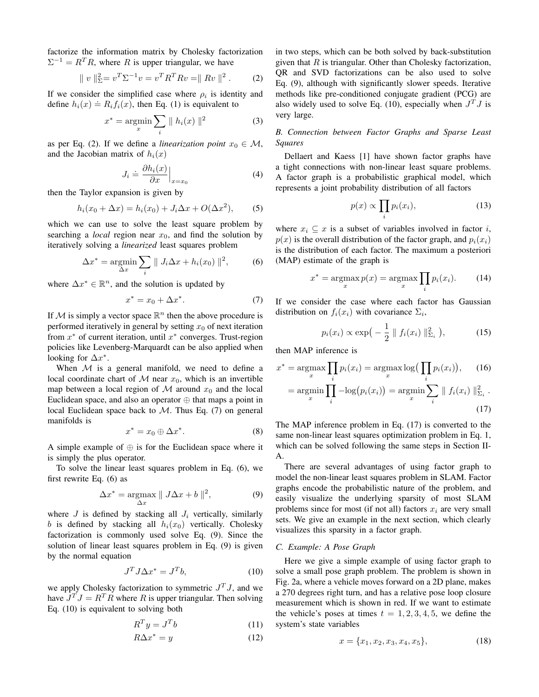factorize the information matrix by Cholesky factorization  $\Sigma^{-1} = R^{T} R$ , where R is upper triangular, we have

$$
\| v \|_{\Sigma}^{2} = v^{T} \Sigma^{-1} v = v^{T} R^{T} R v = \| R v \|^{2}.
$$
 (2)

If we consider the simplified case where  $\rho_i$  is identity and define  $h_i(x) \doteq R_i f_i(x)$ , then Eq. (1) is equivalent to

$$
x^* = \underset{x}{\operatorname{argmin}} \sum_i \|h_i(x)\|^2 \tag{3}
$$

as per Eq. (2). If we define a *linearization point*  $x_0 \in M$ , and the Jacobian matrix of  $h_i(x)$ 

$$
J_i \doteq \frac{\partial h_i(x)}{\partial x}\Big|_{x=x_0} \tag{4}
$$

then the Taylor expansion is given by

$$
h_i(x_0 + \Delta x) = h_i(x_0) + J_i \Delta x + O(\Delta x^2),
$$
 (5)

which we can use to solve the least square problem by searching a *local* region near  $x_0$ , and find the solution by iteratively solving a *linearized* least squares problem

$$
\Delta x^* = \underset{\Delta x}{\text{argmin}} \sum_i \| J_i \Delta x + h_i(x_0) \|^2, \tag{6}
$$

where  $\Delta x^* \in \mathbb{R}^n$ , and the solution is updated by

$$
x^* = x_0 + \Delta x^*.\tag{7}
$$

If M is simply a vector space  $\mathbb{R}^n$  then the above procedure is performed iteratively in general by setting  $x_0$  of next iteration from  $x^*$  of current iteration, until  $x^*$  converges. Trust-region policies like Levenberg-Marquardt can be also applied when looking for  $\Delta x^*$ .

When  $M$  is a general manifold, we need to define a local coordinate chart of  $M$  near  $x_0$ , which is an invertible map between a local region of M around  $x_0$  and the local Euclidean space, and also an operator  $oplus$  that maps a point in local Euclidean space back to  $M$ . Thus Eq. (7) on general manifolds is

$$
x^* = x_0 \oplus \Delta x^*.
$$
 (8)

A simple example of  $\oplus$  is for the Euclidean space where it is simply the plus operator.

To solve the linear least squares problem in Eq. (6), we first rewrite Eq. (6) as

$$
\Delta x^* = \underset{\Delta x}{\operatorname{argmax}} \parallel J\Delta x + b \parallel^2, \tag{9}
$$

where  $J$  is defined by stacking all  $J_i$  vertically, similarly b is defined by stacking all  $h_i(x_0)$  vertically. Cholesky factorization is commonly used solve Eq. (9). Since the solution of linear least squares problem in Eq. (9) is given by the normal equation

$$
J^T J \Delta x^* = J^T b,\tag{10}
$$

we apply Cholesky factorization to symmetric  $J^T J$ , and we have  $J^T J = R^T R$  where R is upper triangular. Then solving Eq. (10) is equivalent to solving both

$$
R^T y = J^T b \tag{11}
$$

$$
R\Delta x^* = y \tag{12}
$$

in two steps, which can be both solved by back-substitution given that  $R$  is triangular. Other than Cholesky factorization, QR and SVD factorizations can be also used to solve Eq. (9), although with significantly slower speeds. Iterative methods like pre-conditioned conjugate gradient (PCG) are also widely used to solve Eq. (10), especially when  $J^TJ$  is very large.

*B. Connection between Factor Graphs and Sparse Least Squares*

Dellaert and Kaess [1] have shown factor graphs have a tight connections with non-linear least square problems. A factor graph is a probabilistic graphical model, which represents a joint probability distribution of all factors

$$
p(x) \propto \prod_{i} p_i(x_i),\tag{13}
$$

where  $x_i \subseteq x$  is a subset of variables involved in factor i,  $p(x)$  is the overall distribution of the factor graph, and  $p_i(x_i)$ is the distribution of each factor. The maximum a posteriori (MAP) estimate of the graph is

$$
x^* = \operatorname*{argmax}_{x} p(x) = \operatorname*{argmax}_{x} \prod_{i} p_i(x_i). \tag{14}
$$

If we consider the case where each factor has Gaussian distribution on  $f_i(x_i)$  with covariance  $\Sigma_i$ ,

$$
p_i(x_i) \propto \exp\left(-\frac{1}{2} \| f_i(x_i) \|_{\Sigma_i}^2\right),
$$
 (15)

then MAP inference is

$$
x^* = \underset{x}{\operatorname{argmax}} \prod_i p_i(x_i) = \underset{x}{\operatorname{argmax}} \log \Big( \prod_i p_i(x_i) \Big), \qquad (16)
$$

$$
= \underset{x}{\operatorname{argmin}} \prod_i -\log \Big( p_i(x_i) \Big) = \underset{x}{\operatorname{argmin}} \sum_i \parallel f_i(x_i) \parallel_{\Sigma_i}^2.
$$
(17)

The MAP inference problem in Eq. (17) is converted to the same non-linear least squares optimization problem in Eq. 1, which can be solved following the same steps in Section II-A.

There are several advantages of using factor graph to model the non-linear least squares problem in SLAM. Factor graphs encode the probabilistic nature of the problem, and easily visualize the underlying sparsity of most SLAM problems since for most (if not all) factors  $x_i$  are very small sets. We give an example in the next section, which clearly visualizes this sparsity in a factor graph.

## *C. Example: A Pose Graph*

Here we give a simple example of using factor graph to solve a small pose graph problem. The problem is shown in Fig. 2a, where a vehicle moves forward on a 2D plane, makes a 270 degrees right turn, and has a relative pose loop closure measurement which is shown in red. If we want to estimate the vehicle's poses at times  $t = 1, 2, 3, 4, 5$ , we define the system's state variables

$$
x = \{x_1, x_2, x_3, x_4, x_5\},\tag{18}
$$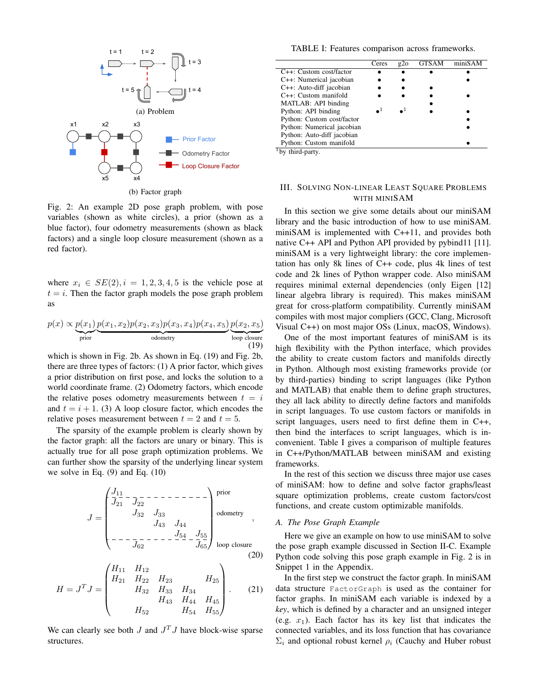

(b) Factor graph

Fig. 2: An example 2D pose graph problem, with pose variables (shown as white circles), a prior (shown as a blue factor), four odometry measurements (shown as black factors) and a single loop closure measurement (shown as a red factor).

where  $x_i \in SE(2), i = 1, 2, 3, 4, 5$  is the vehicle pose at  $t = i$ . Then the factor graph models the pose graph problem as

$$
p(x) \propto \underbrace{p(x_1)}_{\text{prior}} \underbrace{p(x_1, x_2) p(x_2, x_3) p(x_3, x_4) p(x_4, x_5)}_{\text{odometry}} \underbrace{p(x_2, x_5)}_{\text{loop closure}}
$$
(19)

which is shown in Fig. 2b. As shown in Eq. (19) and Fig. 2b, there are three types of factors: (1) A prior factor, which gives a prior distribution on first pose, and locks the solution to a world coordinate frame. (2) Odometry factors, which encode the relative poses odometry measurements between  $t = i$ and  $t = i + 1$ . (3) A loop closure factor, which encodes the relative poses measurement between  $t = 2$  and  $t = 5$ .

The sparsity of the example problem is clearly shown by the factor graph: all the factors are unary or binary. This is actually true for all pose graph optimization problems. We can further show the sparsity of the underlying linear system we solve in Eq. (9) and Eq. (10)

J = J<sup>11</sup> J<sup>21</sup> J<sup>22</sup> J<sup>32</sup> J<sup>33</sup> J<sup>43</sup> J<sup>44</sup> J<sup>54</sup> J<sup>55</sup> J<sup>62</sup> J<sup>65</sup> prior odometry loop closure , (20)

$$
H = JT J = \begin{pmatrix} H_{11} & H_{12} & & & & H_{25} \\ H_{21} & H_{22} & H_{23} & & H_{34} \\ & H_{32} & H_{33} & H_{34} & & H_{45} \\ & & H_{43} & H_{44} & H_{45} \\ & & H_{52} & & H_{54} & H_{55} \end{pmatrix}.
$$
 (21)

We can clearly see both  $J$  and  $J^T J$  have block-wise sparse structures.

TABLE I: Features comparison across frameworks.

| Ceres | g2o | <b>GTSAM</b> | miniSAM |
|-------|-----|--------------|---------|
|       |     |              |         |
|       |     |              |         |
|       |     |              |         |
|       |     |              |         |
|       |     |              |         |
|       |     |              |         |
|       |     |              |         |
|       |     |              |         |
|       |     |              |         |
|       |     |              |         |
|       |     |              |         |

by third-party.

# III. SOLVING NON-LINEAR LEAST SQUARE PROBLEMS WITH MINISAM

In this section we give some details about our miniSAM library and the basic introduction of how to use miniSAM. miniSAM is implemented with C++11, and provides both native C++ API and Python API provided by pybind11 [11]. miniSAM is a very lightweight library: the core implementation has only 8k lines of C++ code, plus 4k lines of test code and 2k lines of Python wrapper code. Also miniSAM requires minimal external dependencies (only Eigen [12] linear algebra library is required). This makes miniSAM great for cross-platform compatibility. Currently miniSAM compiles with most major compliers (GCC, Clang, Microsoft Visual C++) on most major OSs (Linux, macOS, Windows).

One of the most important features of miniSAM is its high flexibility with the Python interface, which provides the ability to create custom factors and manifolds directly in Python. Although most existing frameworks provide (or by third-parties) binding to script languages (like Python and MATLAB) that enable them to define graph structures, they all lack ability to directly define factors and manifolds in script languages. To use custom factors or manifolds in script languages, users need to first define them in C++, then bind the interfaces to script languages, which is inconvenient. Table I gives a comparison of multiple features in C++/Python/MATLAB between miniSAM and existing frameworks.

In the rest of this section we discuss three major use cases of miniSAM: how to define and solve factor graphs/least square optimization problems, create custom factors/cost functions, and create custom optimizable manifolds.

## *A. The Pose Graph Example*

Here we give an example on how to use miniSAM to solve the pose graph example discussed in Section II-C. Example Python code solving this pose graph example in Fig. 2 is in Snippet 1 in the Appendix.

In the first step we construct the factor graph. In miniSAM data structure FactorGraph is used as the container for factor graphs. In miniSAM each variable is indexed by a *key*, which is defined by a character and an unsigned integer (e.g.  $x_1$ ). Each factor has its key list that indicates the connected variables, and its loss function that has covariance  $\Sigma_i$  and optional robust kernel  $\rho_i$  (Cauchy and Huber robust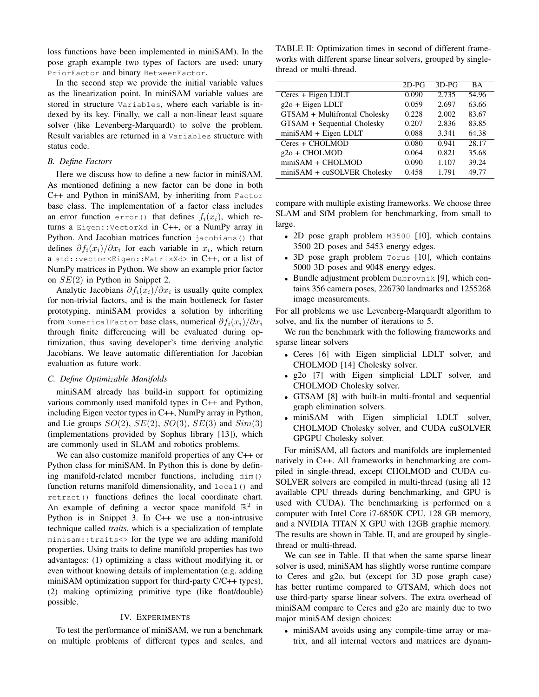loss functions have been implemented in miniSAM). In the pose graph example two types of factors are used: unary PriorFactor and binary BetweenFactor.

In the second step we provide the initial variable values as the linearization point. In miniSAM variable values are stored in structure Variables, where each variable is indexed by its key. Finally, we call a non-linear least square solver (like Levenberg-Marquardt) to solve the problem. Result variables are returned in a Variables structure with status code.

#### *B. Define Factors*

Here we discuss how to define a new factor in miniSAM. As mentioned defining a new factor can be done in both C++ and Python in miniSAM, by inheriting from Factor base class. The implementation of a factor class includes an error function error() that defines  $f_i(x_i)$ , which returns a Eigen::VectorXd in C++, or a NumPy array in Python. And Jacobian matrices function jacobians() that defines  $\partial f_i(x_i)/\partial x_i$  for each variable in  $x_i$ , which return a std::vector<Eigen::MatrixXd> in C++, or a list of NumPy matrices in Python. We show an example prior factor on  $SE(2)$  in Python in Snippet 2.

Analytic Jacobians  $\partial f_i(x_i)/\partial x_i$  is usually quite complex for non-trivial factors, and is the main bottleneck for faster prototyping. miniSAM provides a solution by inheriting from NumericalFactor base class, numerical  $\partial f_i(x_i)/\partial x_i$ through finite differencing will be evaluated during optimization, thus saving developer's time deriving analytic Jacobians. We leave automatic differentiation for Jacobian evaluation as future work.

## *C. Define Optimizable Manifolds*

miniSAM already has build-in support for optimizing various commonly used manifold types in C++ and Python, including Eigen vector types in C++, NumPy array in Python, and Lie groups  $SO(2)$ ,  $SE(2)$ ,  $SO(3)$ ,  $SE(3)$  and  $Sim(3)$ (implementations provided by Sophus library [13]), which are commonly used in SLAM and robotics problems.

We can also customize manifold properties of any C++ or Python class for miniSAM. In Python this is done by defining manifold-related member functions, including dim() function returns manifold dimensionality, and  $local()$  and retract() functions defines the local coordinate chart. An example of defining a vector space manifold  $\mathbb{R}^2$  in Python is in Snippet 3. In C++ we use a non-intrusive technique called *traits*, which is a specialization of template minisam::traits<> for the type we are adding manifold properties. Using traits to define manifold properties has two advantages: (1) optimizing a class without modifying it, or even without knowing details of implementation (e.g. adding miniSAM optimization support for third-party C/C++ types), (2) making optimizing primitive type (like float/double) possible.

#### IV. EXPERIMENTS

To test the performance of miniSAM, we run a benchmark on multiple problems of different types and scales, and

TABLE II: Optimization times in second of different frameworks with different sparse linear solvers, grouped by singlethread or multi-thread.

|                               | $2D-PG$ | $3D-PG$ | <b>BA</b> |
|-------------------------------|---------|---------|-----------|
| Ceres + Eigen LDLT            | 0.090   | 2.735   | 54.96     |
| g2o + Eigen LDLT              | 0.059   | 2.697   | 63.66     |
| GTSAM + Multifrontal Cholesky | 0.228   | 2.002   | 83.67     |
| GTSAM + Sequential Cholesky   | 0.207   | 2.836   | 83.85     |
| miniSAM + Eigen LDLT          | 0.088   | 3.341   | 64.38     |
| Ceres + CHOLMOD               | 0.080   | 0.941   | 28.17     |
| $g2o + CHOLMOD$               | 0.064   | 0.821   | 35.68     |
| $min$ SAM + CHOLMOD           | 0.090   | 1.107   | 39.24     |
| $min$ SAM + cuSOLVER Cholesky | 0.458   | 1.791   | 49.77     |

compare with multiple existing frameworks. We choose three SLAM and SfM problem for benchmarking, from small to large.

- 2D pose graph problem M3500 [10], which contains 3500 2D poses and 5453 energy edges.
- 3D pose graph problem Torus [10], which contains 5000 3D poses and 9048 energy edges.
- Bundle adjustment problem Dubrovnik [9], which contains 356 camera poses, 226730 landmarks and 1255268 image measurements.

For all problems we use Levenberg-Marquardt algorithm to solve, and fix the number of iterations to 5.

We run the benchmark with the following frameworks and sparse linear solvers

- Ceres [6] with Eigen simplicial LDLT solver, and CHOLMOD [14] Cholesky solver.
- g2o [7] with Eigen simplicial LDLT solver, and CHOLMOD Cholesky solver.
- GTSAM [8] with built-in multi-frontal and sequential graph elimination solvers.
- miniSAM with Eigen simplicial LDLT solver, CHOLMOD Cholesky solver, and CUDA cuSOLVER GPGPU Cholesky solver.

For miniSAM, all factors and manifolds are implemented natively in C++. All frameworks in benchmarking are compiled in single-thread, except CHOLMOD and CUDA cu-SOLVER solvers are compiled in multi-thread (using all 12 available CPU threads during benchmarking, and GPU is used with CUDA). The benchmarking is performed on a computer with Intel Core i7-6850K CPU, 128 GB memory, and a NVIDIA TITAN X GPU with 12GB graphic memory. The results are shown in Table. II, and are grouped by singlethread or multi-thread.

We can see in Table. II that when the same sparse linear solver is used, miniSAM has slightly worse runtime compare to Ceres and g2o, but (except for 3D pose graph case) has better runtime compared to GTSAM, which does not use third-party sparse linear solvers. The extra overhead of miniSAM compare to Ceres and g2o are mainly due to two major miniSAM design choices:

• miniSAM avoids using any compile-time array or matrix, and all internal vectors and matrices are dynam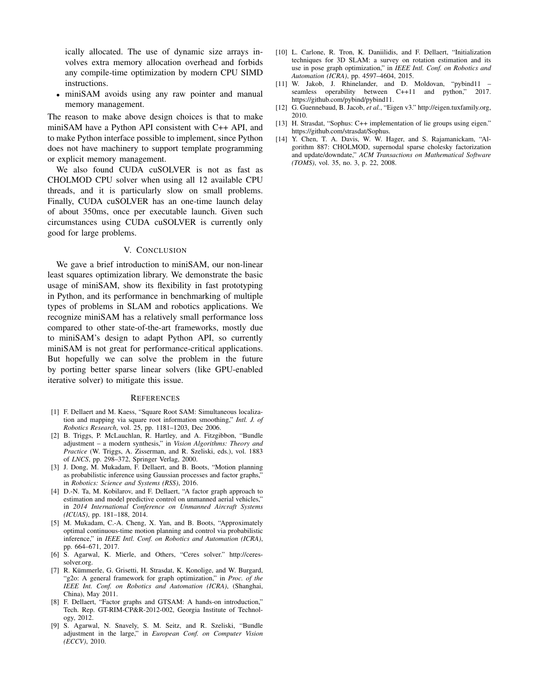ically allocated. The use of dynamic size arrays involves extra memory allocation overhead and forbids any compile-time optimization by modern CPU SIMD instructions.

• miniSAM avoids using any raw pointer and manual memory management.

The reason to make above design choices is that to make miniSAM have a Python API consistent with C++ API, and to make Python interface possible to implement, since Python does not have machinery to support template programming or explicit memory management.

We also found CUDA cuSOLVER is not as fast as CHOLMOD CPU solver when using all 12 available CPU threads, and it is particularly slow on small problems. Finally, CUDA cuSOLVER has an one-time launch delay of about 350ms, once per executable launch. Given such circumstances using CUDA cuSOLVER is currently only good for large problems.

#### V. CONCLUSION

We gave a brief introduction to miniSAM, our non-linear least squares optimization library. We demonstrate the basic usage of miniSAM, show its flexibility in fast prototyping in Python, and its performance in benchmarking of multiple types of problems in SLAM and robotics applications. We recognize miniSAM has a relatively small performance loss compared to other state-of-the-art frameworks, mostly due to miniSAM's design to adapt Python API, so currently miniSAM is not great for performance-critical applications. But hopefully we can solve the problem in the future by porting better sparse linear solvers (like GPU-enabled iterative solver) to mitigate this issue.

#### **REFERENCES**

- [1] F. Dellaert and M. Kaess, "Square Root SAM: Simultaneous localization and mapping via square root information smoothing," *Intl. J. of Robotics Research*, vol. 25, pp. 1181–1203, Dec 2006.
- [2] B. Triggs, P. McLauchlan, R. Hartley, and A. Fitzgibbon, "Bundle adjustment – a modern synthesis," in *Vision Algorithms: Theory and Practice* (W. Triggs, A. Zisserman, and R. Szeliski, eds.), vol. 1883 of *LNCS*, pp. 298–372, Springer Verlag, 2000.
- [3] J. Dong, M. Mukadam, F. Dellaert, and B. Boots, "Motion planning as probabilistic inference using Gaussian processes and factor graphs,' in *Robotics: Science and Systems (RSS)*, 2016.
- [4] D.-N. Ta, M. Kobilarov, and F. Dellaert, "A factor graph approach to estimation and model predictive control on unmanned aerial vehicles," in *2014 International Conference on Unmanned Aircraft Systems (ICUAS)*, pp. 181–188, 2014.
- [5] M. Mukadam, C.-A. Cheng, X. Yan, and B. Boots, "Approximately optimal continuous-time motion planning and control via probabilistic inference," in *IEEE Intl. Conf. on Robotics and Automation (ICRA)*, pp. 664–671, 2017.
- [6] S. Agarwal, K. Mierle, and Others, "Ceres solver." http://ceressolver.org.
- [7] R. Kümmerle, G. Grisetti, H. Strasdat, K. Konolige, and W. Burgard, "g2o: A general framework for graph optimization," in *Proc. of the IEEE Int. Conf. on Robotics and Automation (ICRA)*, (Shanghai, China), May 2011.
- [8] F. Dellaert, "Factor graphs and GTSAM: A hands-on introduction," Tech. Rep. GT-RIM-CP&R-2012-002, Georgia Institute of Technology, 2012.
- [9] S. Agarwal, N. Snavely, S. M. Seitz, and R. Szeliski, "Bundle adjustment in the large," in *European Conf. on Computer Vision (ECCV)*, 2010.
- [10] L. Carlone, R. Tron, K. Daniilidis, and F. Dellaert, "Initialization techniques for 3D SLAM: a survey on rotation estimation and its use in pose graph optimization," in *IEEE Intl. Conf. on Robotics and Automation (ICRA)*, pp. 4597–4604, 2015.
- [11] W. Jakob, J. Rhinelander, and D. Moldovan, "pybind11 seamless operability between C++11 and python," 2017. https://github.com/pybind/pybind11.
- [12] G. Guennebaud, B. Jacob, *et al.*, "Eigen v3." http://eigen.tuxfamily.org, 2010.
- [13] H. Strasdat, "Sophus: C++ implementation of lie groups using eigen." https://github.com/strasdat/Sophus.
- [14] Y. Chen, T. A. Davis, W. W. Hager, and S. Rajamanickam, "Algorithm 887: CHOLMOD, supernodal sparse cholesky factorization and update/downdate," *ACM Transactions on Mathematical Software (TOMS)*, vol. 35, no. 3, p. 22, 2008.